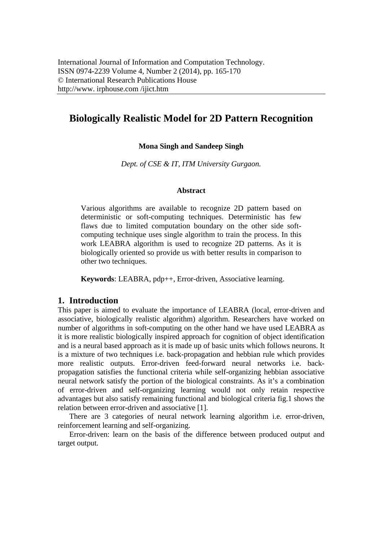# **Biologically Realistic Model for 2D Pattern Recognition**

#### **Mona Singh and Sandeep Singh**

*Dept. of CSE & IT, ITM University Gurgaon.* 

#### **Abstract**

Various algorithms are available to recognize 2D pattern based on deterministic or soft-computing techniques. Deterministic has few flaws due to limited computation boundary on the other side softcomputing technique uses single algorithm to train the process. In this work LEABRA algorithm is used to recognize 2D patterns. As it is biologically oriented so provide us with better results in comparison to other two techniques.

**Keywords**: LEABRA, pdp++, Error-driven, Associative learning.

#### **1. Introduction**

This paper is aimed to evaluate the importance of LEABRA (local, error-driven and associative, biologically realistic algorithm) algorithm. Researchers have worked on number of algorithms in soft-computing on the other hand we have used LEABRA as it is more realistic biologically inspired approach for cognition of object identification and is a neural based approach as it is made up of basic units which follows neurons. It is a mixture of two techniques i.e. back-propagation and hebbian rule which provides more realistic outputs. Error-driven feed-forward neural networks i.e. backpropagation satisfies the functional criteria while self-organizing hebbian associative neural network satisfy the portion of the biological constraints. As it's a combination of error-driven and self-organizing learning would not only retain respective advantages but also satisfy remaining functional and biological criteria fig.1 shows the relation between error-driven and associative [1].

There are 3 categories of neural network learning algorithm i.e. error-driven, reinforcement learning and self-organizing.

Error-driven: learn on the basis of the difference between produced output and target output.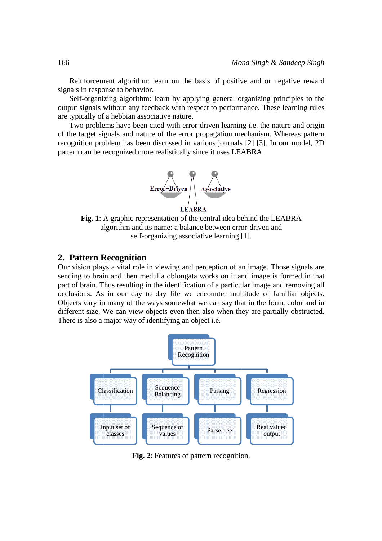Reinforcement algorithm: learn on the basis of positive and or negative reward signals in response to behavior.

Self-organizing algorithm: learn by applying general organizing principles to the output signals without any feedback with respect to performance. These learning rules are typically of a hebbian associative nature.

Two problems have been cited with error-driven learning *i.e.* the nature and origin of the target signals and nature of the error propagation mechanism. Whereas pattern recognition problem has been discussed in various journals [2] [3]. In our model, 2D pattern can be recognized more realistically since it uses LEABRA.



Fig. 1: A graphic representation of the central idea behind the LEABRA algorithm and its name: a balance between error-driven and self-organizing associative learning [1].

#### 2. Pattern Recognition

Our vision plays a vital role in viewing and perception of an image. Those signals are sending to brain and then medulla oblongata works on it and image is formed in that part of brain. Thus resulting in the identification of a particular image and removing all occlusions. As in our day to day life we encounter multitude of familiar objects. Objects vary in many of the ways somewhat we can say that in the form, color and in different size. We can view objects even then also when they are partially obstructed. There is also a major way of identifying an object *i.e.* 



Fig. 2: Features of pattern recognition.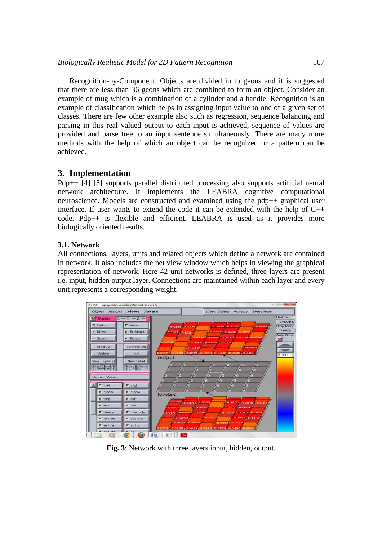Recognition-by-Component. Objects are divided in to geons and it is suggested that there are less than 36 geons which are combined to form an object. Consider an example of mug which is a combination of a cylinder and a handle. Recognition is an example of classification which helps in assigning input value to one of a given set of classes. There are few other example also such as regression, sequence balancing and parsing in this real valued output to each input is achieved, sequence of values are provided and parse tree to an input sentence simultaneously. There are many more methods with the help of which an object can be recognized or a pattern can be achieved.

### **3. Implementation**

Pdp++ [4] [5] supports parallel distributed processing also supports artificial neural network architecture. It implements the LEABRA cognitive computational neuroscience. Models are constructed and examined using the pdp++ graphical user interface. If user wants to extend the code it can be extended with the help of  $C_{++}$ code. Pdp++ is flexible and efficient. LEABRA is used as it provides more biologically oriented results.

### **3.1. Network**

All connections, layers, units and related objects which define a network are contained in network. It also includes the net view window which helps in viewing the graphical representation of network. Here 42 unit networks is defined, three layers are present i.e. input, hidden output layer. Connections are maintained within each layer and every unit represents a corresponding weight.



**Fig. 3**: Network with three layers input, hidden, output.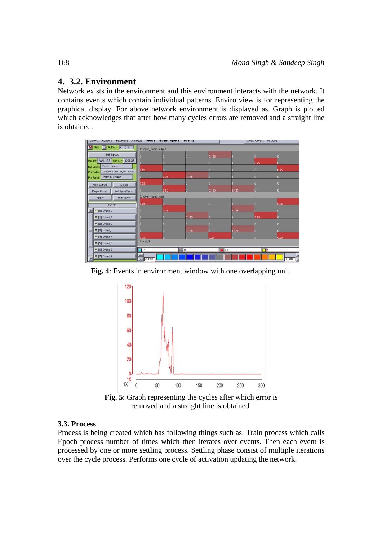## **4. 3.2. Environment**

Network exists in the environment and this environment interacts with the network. It contains events which contain individual patterns. Enviro view is for representing the graphical display. For above network environment is displayed as. Graph is plotted which acknowledges that after how many cycles errors are removed and a straight line is obtained.

| Object Actions Generate Analyze .Views .event_specs .events       |                      |      |          |       |            | <b>View: Object Actions</b> |            |  |
|-------------------------------------------------------------------|----------------------|------|----------|-------|------------|-----------------------------|------------|--|
| Disp AutoSc X: 3 Y: 5                                             | 1: layer_name:output |      |          |       |            |                             |            |  |
| Edit Specs                                                        |                      |      |          | 0.125 |            |                             |            |  |
| Val Txt: VALUES Disp Md: COLOR                                    |                      |      |          |       |            | 0.25                        | n          |  |
| Event: name<br>Evt Label:                                         | 0.25                 |      |          |       |            |                             | 0.25       |  |
| PatternSpectilayer_name<br>Pat Label:<br>Pat Block Pattern Values |                      | 0.25 | 0.125    |       |            |                             | 0.         |  |
|                                                                   | 0.25                 | 0.   |          | n     |            |                             | 0          |  |
| New Evt/Gp<br>Delete                                              |                      | 0.25 |          | 0.125 | 0.125      |                             |            |  |
| <b>Dupe Event</b><br>Set Spec/Type<br>Init/Revert                 | 0: layer_name:input  |      |          |       |            |                             |            |  |
| Apply                                                             | 0.25                 |      |          |       |            |                             | 0.25       |  |
| Events<br>$\Gamma$ [0] Event_0                                    |                      | 0.25 |          |       | 0.125      |                             | o          |  |
| $F$ [1] Event_1                                                   |                      |      | 0.125    |       |            | 0.25                        | n.         |  |
| $[2]$ Event 2                                                     |                      |      |          |       |            |                             |            |  |
| <b>■</b> [3] Event_3                                              |                      |      | 0.125    |       | 0.125      |                             | n          |  |
| $F$ [4] Event_4                                                   | 0.25                 |      |          | 0.25  |            |                             | 0.25       |  |
| $F$ [5] Event_5                                                   | Event_0              |      |          |       |            |                             |            |  |
| $[6]$ Event_6                                                     | $\Box$ -1            |      | $\Box$ o |       | $\Box$ 0.5 | ПI                          |            |  |
| $F$ [7] Event_7                                                   |                      |      |          |       |            |                             |            |  |
|                                                                   | $-1.000$             |      |          |       |            |                             | 1.000<br>Ŀ |  |

**Fig. 4**: Events in environment window with one overlapping unit.



**Fig. 5**: Graph representing the cycles after which error is removed and a straight line is obtained.

### **3.3. Process**

Process is being created which has following things such as. Train process which calls Epoch process number of times which then iterates over events. Then each event is processed by one or more settling process. Settling phase consist of multiple iterations over the cycle process. Performs one cycle of activation updating the network.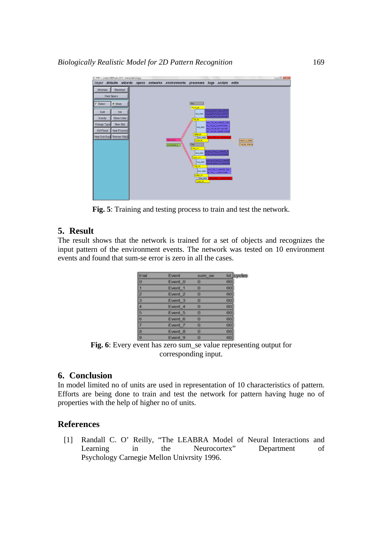

**Fig. 5**: Training and testing process to train and test the network.

## **5. Result**

The result shows that the network is trained for a set of objects and recognizes the input pattern of the environment events. The network was tested on 10 environment events and found that sum-se error is zero in all the cases.

| trial          | <b>Event</b>       | sum se | ist cycles |
|----------------|--------------------|--------|------------|
| o              | Event 0            | o      | 60         |
| E.             | Event 1            | o      | 60         |
| $\overline{2}$ | Event 2            | o      |            |
| 3              | Event 3            | o      | 60<br>60   |
| Æ              | Event 4            | o      | 60<br>60   |
| 5              | Event 5            | o      |            |
| 6              | Event 6            | o      | 60         |
| 7              | Event 7            | o      | 60         |
| B              | Event 8            | o      | 60         |
| <b>G</b>       | Event <sub>9</sub> | o      | 60         |

**Fig. 6**: Every event has zero sum\_se value representing output for corresponding input.

### **6. Conclusion**

In model limited no of units are used in representation of 10 characteristics of pattern. Efforts are being done to train and test the network for pattern having huge no of properties with the help of higher no of units.

### **References**

[1] Randall C. O' Reilly, "The LEABRA Model of Neural Interactions and Learning in the Neurocortex" Department of Psychology Carnegie Mellon Univrsity 1996.